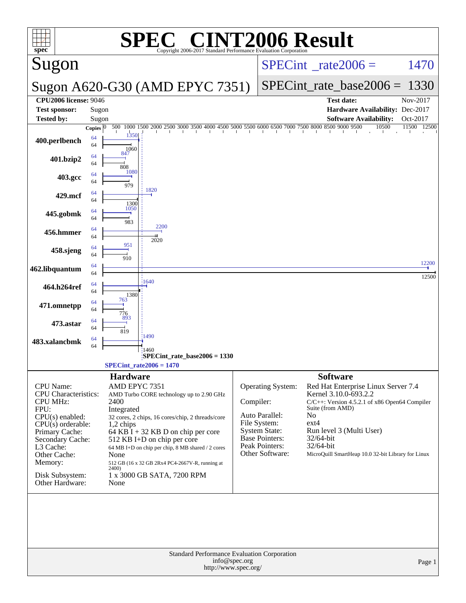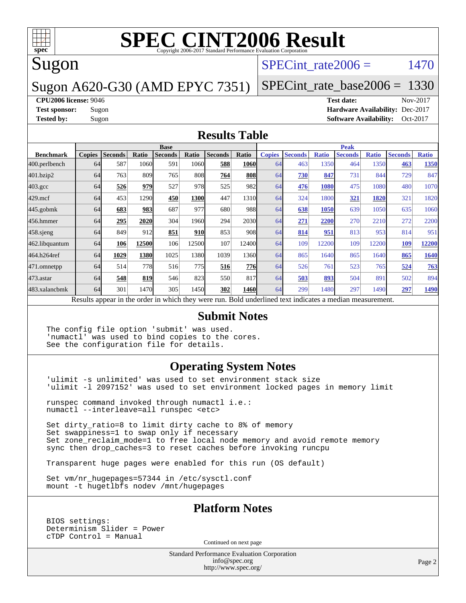

# Sugon

### SPECint rate $2006 = 1470$

### Sugon A620-G30 (AMD EPYC 7351)

[SPECint\\_rate\\_base2006 =](http://www.spec.org/auto/cpu2006/Docs/result-fields.html#SPECintratebase2006) 1330

**[CPU2006 license:](http://www.spec.org/auto/cpu2006/Docs/result-fields.html#CPU2006license)** 9046 **[Test date:](http://www.spec.org/auto/cpu2006/Docs/result-fields.html#Testdate)** Nov-2017

**[Test sponsor:](http://www.spec.org/auto/cpu2006/Docs/result-fields.html#Testsponsor)** Sugon **[Hardware Availability:](http://www.spec.org/auto/cpu2006/Docs/result-fields.html#HardwareAvailability)** Dec-2017 **[Tested by:](http://www.spec.org/auto/cpu2006/Docs/result-fields.html#Testedby)** Sugon **[Software Availability:](http://www.spec.org/auto/cpu2006/Docs/result-fields.html#SoftwareAvailability)** Oct-2017

#### **[Results Table](http://www.spec.org/auto/cpu2006/Docs/result-fields.html#ResultsTable)**

|                    | <b>Base</b>   |                |       |                | <b>Peak</b> |                                                                                                          |              |               |                |              |                |              |                |              |
|--------------------|---------------|----------------|-------|----------------|-------------|----------------------------------------------------------------------------------------------------------|--------------|---------------|----------------|--------------|----------------|--------------|----------------|--------------|
| <b>Benchmark</b>   | <b>Copies</b> | <b>Seconds</b> | Ratio | <b>Seconds</b> | Ratio       | <b>Seconds</b>                                                                                           | Ratio        | <b>Copies</b> | <b>Seconds</b> | <b>Ratio</b> | <b>Seconds</b> | <b>Ratio</b> | <b>Seconds</b> | <b>Ratio</b> |
| 400.perlbench      | 64            | 587            | 1060  | 591            | 1060        | 588                                                                                                      | <b>1060l</b> | 64            | 463            | 1350         | 464            | 1350         | 463            | 1350         |
| 401.bzip2          | 64            | 763            | 809   | 765            | 808         | 764                                                                                                      | 808          | 64            | 730            | 847          | 731            | 844          | 729            | 847          |
| $403.\mathrm{gcc}$ | 64            | 526            | 979   | 527            | 978         | 525                                                                                                      | 982          | 64            | 476            | 1080         | 475            | 1080         | 480            | 1070         |
| $429$ .mcf         | 64            | 453            | 1290  | 450            | 1300        | 447                                                                                                      | 1310         | 64            | 324            | 1800         | 321            | 1820         | 321            | 1820         |
| $445$ .gobmk       | 64            | 683            | 983   | 687            | 977         | 680                                                                                                      | 988          | 64            | 638            | 1050         | 639            | 1050         | 635            | 1060         |
| 456.hmmer          | 64            | 295            | 2020  | 304            | 1960        | 294                                                                                                      | 2030         | 64            | 271            | 2200         | 270            | 2210         | 272            | 2200         |
| $458$ .sjeng       | 64            | 849            | 912   | 851            | <b>910</b>  | 853                                                                                                      | 908          | 64            | 814            | 951          | 813            | 953          | 814            | 951          |
| 462.libquantum     | 64            | 106            | 12500 | 106            | 12500       | 107                                                                                                      | 12400        | 64            | 109            | 12200        | 109            | 12200        | 109            | 12200        |
| 464.h264ref        | 64            | 1029           | 1380  | 1025           | 1380        | 1039                                                                                                     | 1360         | 64            | 865            | 1640         | 865            | 1640         | 865            | 1640         |
| 471.omnetpp        | 64            | 514            | 778   | 516            | 775I        | 516                                                                                                      | 776          | 64            | 526            | 761          | 523            | 765          | 524            | 763          |
| $473$ . astar      | 64            | 548            | 819   | 546            | 823         | 550                                                                                                      | 817          | 64            | 503            | 893          | 504            | 891          | 502            | 894          |
| 483.xalancbmk      | 64            | 301            | 1470  | 305            | 1450        | 302                                                                                                      | 1460         | 64            | 299            | 1480         | 297            | 1490         | 297            | 1490         |
|                    |               |                |       |                |             | Results appear in the order in which they were run. Bold underlined text indicates a median measurement. |              |               |                |              |                |              |                |              |

#### **[Submit Notes](http://www.spec.org/auto/cpu2006/Docs/result-fields.html#SubmitNotes)**

The config file option 'submit' was used. 'numactl' was used to bind copies to the cores. See the configuration file for details.

#### **[Operating System Notes](http://www.spec.org/auto/cpu2006/Docs/result-fields.html#OperatingSystemNotes)**

'ulimit -s unlimited' was used to set environment stack size 'ulimit -l 2097152' was used to set environment locked pages in memory limit

runspec command invoked through numactl i.e.: numactl --interleave=all runspec <etc>

Set dirty\_ratio=8 to limit dirty cache to 8% of memory Set swappiness=1 to swap only if necessary Set zone\_reclaim\_mode=1 to free local node memory and avoid remote memory sync then drop\_caches=3 to reset caches before invoking runcpu

Transparent huge pages were enabled for this run (OS default)

Set vm/nr hugepages=57344 in /etc/sysctl.conf mount -t hugetlbfs nodev /mnt/hugepages

#### **[Platform Notes](http://www.spec.org/auto/cpu2006/Docs/result-fields.html#PlatformNotes)**

BIOS settings: Determinism Slider = Power cTDP Control = Manual

Continued on next page

Standard Performance Evaluation Corporation [info@spec.org](mailto:info@spec.org) <http://www.spec.org/>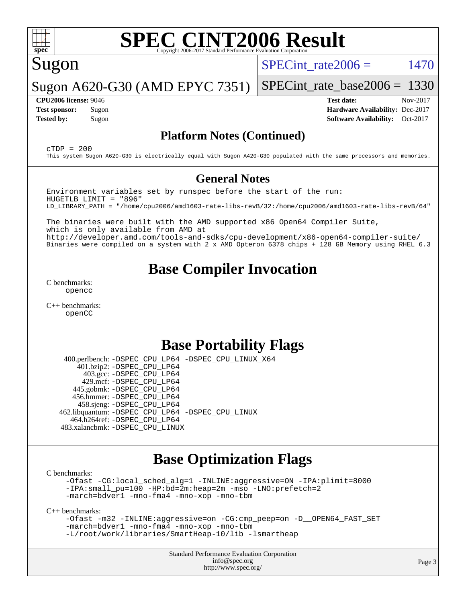

# Sugon

SPECint rate $2006 = 1470$ 

Sugon A620-G30 (AMD EPYC 7351) [SPECint\\_rate\\_base2006 =](http://www.spec.org/auto/cpu2006/Docs/result-fields.html#SPECintratebase2006) 1330

**[CPU2006 license:](http://www.spec.org/auto/cpu2006/Docs/result-fields.html#CPU2006license)** 9046 **[Test date:](http://www.spec.org/auto/cpu2006/Docs/result-fields.html#Testdate)** Nov-2017 **[Test sponsor:](http://www.spec.org/auto/cpu2006/Docs/result-fields.html#Testsponsor)** Sugon **[Hardware Availability:](http://www.spec.org/auto/cpu2006/Docs/result-fields.html#HardwareAvailability)** Dec-2017 **[Tested by:](http://www.spec.org/auto/cpu2006/Docs/result-fields.html#Testedby)** Sugon **[Software Availability:](http://www.spec.org/auto/cpu2006/Docs/result-fields.html#SoftwareAvailability)** Oct-2017

#### **[Platform Notes \(Continued\)](http://www.spec.org/auto/cpu2006/Docs/result-fields.html#PlatformNotes)**

 $C TDP = 200$ This system Sugon A620-G30 is electrically equal with Sugon A420-G30 populated with the same processors and memories.

#### **[General Notes](http://www.spec.org/auto/cpu2006/Docs/result-fields.html#GeneralNotes)**

Environment variables set by runspec before the start of the run: HUGETLB\_LIMIT = "896" LD\_LIBRARY\_PATH = "/home/cpu2006/amd1603-rate-libs-revB/32:/home/cpu2006/amd1603-rate-libs-revB/64"

The binaries were built with the AMD supported x86 Open64 Compiler Suite, which is only available from AMD at <http://developer.amd.com/tools-and-sdks/cpu-development/x86-open64-compiler-suite/> Binaries were compiled on a system with 2 x AMD Opteron 6378 chips + 128 GB Memory using RHEL 6.3

## **[Base Compiler Invocation](http://www.spec.org/auto/cpu2006/Docs/result-fields.html#BaseCompilerInvocation)**

[C benchmarks](http://www.spec.org/auto/cpu2006/Docs/result-fields.html#Cbenchmarks): [opencc](http://www.spec.org/cpu2006/results/res2017q4/cpu2006-20171211-50963.flags.html#user_CCbase_Fopencc)

[C++ benchmarks:](http://www.spec.org/auto/cpu2006/Docs/result-fields.html#CXXbenchmarks) [openCC](http://www.spec.org/cpu2006/results/res2017q4/cpu2006-20171211-50963.flags.html#user_CXXbase_FopenCC)

## **[Base Portability Flags](http://www.spec.org/auto/cpu2006/Docs/result-fields.html#BasePortabilityFlags)**

 400.perlbench: [-DSPEC\\_CPU\\_LP64](http://www.spec.org/cpu2006/results/res2017q4/cpu2006-20171211-50963.flags.html#b400.perlbench_basePORTABILITY_DSPEC_CPU_LP64) [-DSPEC\\_CPU\\_LINUX\\_X64](http://www.spec.org/cpu2006/results/res2017q4/cpu2006-20171211-50963.flags.html#b400.perlbench_baseCPORTABILITY_DSPEC_CPU_LINUX_X64) 401.bzip2: [-DSPEC\\_CPU\\_LP64](http://www.spec.org/cpu2006/results/res2017q4/cpu2006-20171211-50963.flags.html#suite_basePORTABILITY401_bzip2_DSPEC_CPU_LP64) 403.gcc: [-DSPEC\\_CPU\\_LP64](http://www.spec.org/cpu2006/results/res2017q4/cpu2006-20171211-50963.flags.html#suite_basePORTABILITY403_gcc_DSPEC_CPU_LP64) 429.mcf: [-DSPEC\\_CPU\\_LP64](http://www.spec.org/cpu2006/results/res2017q4/cpu2006-20171211-50963.flags.html#suite_basePORTABILITY429_mcf_DSPEC_CPU_LP64) 445.gobmk: [-DSPEC\\_CPU\\_LP64](http://www.spec.org/cpu2006/results/res2017q4/cpu2006-20171211-50963.flags.html#suite_basePORTABILITY445_gobmk_DSPEC_CPU_LP64) 456.hmmer: [-DSPEC\\_CPU\\_LP64](http://www.spec.org/cpu2006/results/res2017q4/cpu2006-20171211-50963.flags.html#suite_basePORTABILITY456_hmmer_DSPEC_CPU_LP64) 458.sjeng: [-DSPEC\\_CPU\\_LP64](http://www.spec.org/cpu2006/results/res2017q4/cpu2006-20171211-50963.flags.html#suite_basePORTABILITY458_sjeng_DSPEC_CPU_LP64) 462.libquantum: [-DSPEC\\_CPU\\_LP64](http://www.spec.org/cpu2006/results/res2017q4/cpu2006-20171211-50963.flags.html#suite_basePORTABILITY462_libquantum_DSPEC_CPU_LP64) [-DSPEC\\_CPU\\_LINUX](http://www.spec.org/cpu2006/results/res2017q4/cpu2006-20171211-50963.flags.html#b462.libquantum_baseCPORTABILITY_DSPEC_CPU_LINUX) 464.h264ref: [-DSPEC\\_CPU\\_LP64](http://www.spec.org/cpu2006/results/res2017q4/cpu2006-20171211-50963.flags.html#suite_basePORTABILITY464_h264ref_DSPEC_CPU_LP64) 483.xalancbmk: [-DSPEC\\_CPU\\_LINUX](http://www.spec.org/cpu2006/results/res2017q4/cpu2006-20171211-50963.flags.html#b483.xalancbmk_baseCXXPORTABILITY_DSPEC_CPU_LINUX)

## **[Base Optimization Flags](http://www.spec.org/auto/cpu2006/Docs/result-fields.html#BaseOptimizationFlags)**

[C benchmarks](http://www.spec.org/auto/cpu2006/Docs/result-fields.html#Cbenchmarks):

[-Ofast](http://www.spec.org/cpu2006/results/res2017q4/cpu2006-20171211-50963.flags.html#user_CCbase_F-Ofast) [-CG:local\\_sched\\_alg=1](http://www.spec.org/cpu2006/results/res2017q4/cpu2006-20171211-50963.flags.html#user_CCbase_F-CG:local_sched_alg_2175ca61f1a2717f1ec57b14995b9e7a) [-INLINE:aggressive=ON](http://www.spec.org/cpu2006/results/res2017q4/cpu2006-20171211-50963.flags.html#user_CCbase_F-INLINE:aggressive_1968a21fda3b9e485676870015f71302) [-IPA:plimit=8000](http://www.spec.org/cpu2006/results/res2017q4/cpu2006-20171211-50963.flags.html#user_CCbase_F-IPA:plimit_92cba83f3d47f09c7d5368fda93ddbd7) [-IPA:small\\_pu=100](http://www.spec.org/cpu2006/results/res2017q4/cpu2006-20171211-50963.flags.html#user_CCbase_F-IPA:small_pu_900a09767c6929d55c26ea3d32399996) [-HP:bd=2m:heap=2m](http://www.spec.org/cpu2006/results/res2017q4/cpu2006-20171211-50963.flags.html#user_CCbase_F-HUGEPAGE_539c723a9f9bd1bd95cd839aeb740bae) [-mso](http://www.spec.org/cpu2006/results/res2017q4/cpu2006-20171211-50963.flags.html#user_CCbase_F-mso) [-LNO:prefetch=2](http://www.spec.org/cpu2006/results/res2017q4/cpu2006-20171211-50963.flags.html#user_CCbase_F-LNO:prefetch_9aee81855ba0592a3c8a40ba7b041143) [-march=bdver1](http://www.spec.org/cpu2006/results/res2017q4/cpu2006-20171211-50963.flags.html#user_CCbase_F-march_fdb9f2653a6b3eaa60be4cf93a9ba5f3) [-mno-fma4](http://www.spec.org/cpu2006/results/res2017q4/cpu2006-20171211-50963.flags.html#user_CCbase_F-mno-fma4_e29f3a785f8b63ba2d60793d5b1cf4c3) [-mno-xop](http://www.spec.org/cpu2006/results/res2017q4/cpu2006-20171211-50963.flags.html#user_CCbase_F-mno-xop) [-mno-tbm](http://www.spec.org/cpu2006/results/res2017q4/cpu2006-20171211-50963.flags.html#user_CCbase_F-mno-tbm)

[C++ benchmarks:](http://www.spec.org/auto/cpu2006/Docs/result-fields.html#CXXbenchmarks)

```
-Ofast -m32 -INLINE:aggressive=on -CG:cmp_peep=on -D__OPEN64_FAST_SET
-march=bdver1 -mno-fma4 -mno-xop -mno-tbm
-L/root/work/libraries/SmartHeap-10/lib -lsmartheap
```
Standard Performance Evaluation Corporation [info@spec.org](mailto:info@spec.org) <http://www.spec.org/>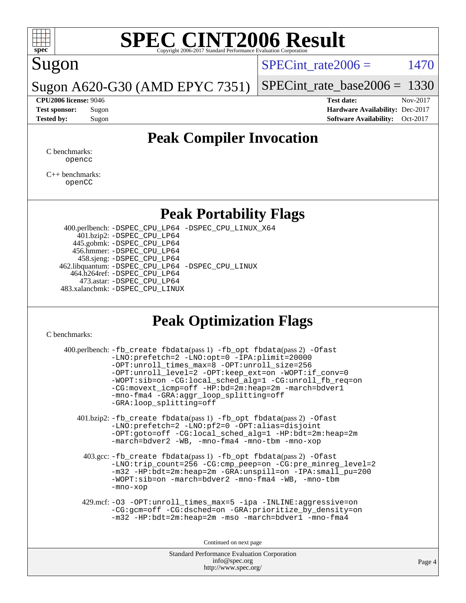

# Sugon

 $SPECTnt_rate2006 = 1470$ 

Sugon A620-G30 (AMD EPYC 7351)

[SPECint\\_rate\\_base2006 =](http://www.spec.org/auto/cpu2006/Docs/result-fields.html#SPECintratebase2006) 1330 **[CPU2006 license:](http://www.spec.org/auto/cpu2006/Docs/result-fields.html#CPU2006license)** 9046 **[Test date:](http://www.spec.org/auto/cpu2006/Docs/result-fields.html#Testdate)** Nov-2017

**[Test sponsor:](http://www.spec.org/auto/cpu2006/Docs/result-fields.html#Testsponsor)** Sugon **[Hardware Availability:](http://www.spec.org/auto/cpu2006/Docs/result-fields.html#HardwareAvailability)** Dec-2017 **[Tested by:](http://www.spec.org/auto/cpu2006/Docs/result-fields.html#Testedby)** Sugon **[Software Availability:](http://www.spec.org/auto/cpu2006/Docs/result-fields.html#SoftwareAvailability)** Oct-2017

## **[Peak Compiler Invocation](http://www.spec.org/auto/cpu2006/Docs/result-fields.html#PeakCompilerInvocation)**

[C benchmarks](http://www.spec.org/auto/cpu2006/Docs/result-fields.html#Cbenchmarks): [opencc](http://www.spec.org/cpu2006/results/res2017q4/cpu2006-20171211-50963.flags.html#user_CCpeak_Fopencc)

[C++ benchmarks:](http://www.spec.org/auto/cpu2006/Docs/result-fields.html#CXXbenchmarks) [openCC](http://www.spec.org/cpu2006/results/res2017q4/cpu2006-20171211-50963.flags.html#user_CXXpeak_FopenCC)

### **[Peak Portability Flags](http://www.spec.org/auto/cpu2006/Docs/result-fields.html#PeakPortabilityFlags)**

 400.perlbench: [-DSPEC\\_CPU\\_LP64](http://www.spec.org/cpu2006/results/res2017q4/cpu2006-20171211-50963.flags.html#b400.perlbench_peakPORTABILITY_DSPEC_CPU_LP64) [-DSPEC\\_CPU\\_LINUX\\_X64](http://www.spec.org/cpu2006/results/res2017q4/cpu2006-20171211-50963.flags.html#b400.perlbench_peakCPORTABILITY_DSPEC_CPU_LINUX_X64) 401.bzip2: [-DSPEC\\_CPU\\_LP64](http://www.spec.org/cpu2006/results/res2017q4/cpu2006-20171211-50963.flags.html#suite_peakPORTABILITY401_bzip2_DSPEC_CPU_LP64) 445.gobmk: [-DSPEC\\_CPU\\_LP64](http://www.spec.org/cpu2006/results/res2017q4/cpu2006-20171211-50963.flags.html#suite_peakPORTABILITY445_gobmk_DSPEC_CPU_LP64) 456.hmmer: [-DSPEC\\_CPU\\_LP64](http://www.spec.org/cpu2006/results/res2017q4/cpu2006-20171211-50963.flags.html#suite_peakPORTABILITY456_hmmer_DSPEC_CPU_LP64) 458.sjeng: [-DSPEC\\_CPU\\_LP64](http://www.spec.org/cpu2006/results/res2017q4/cpu2006-20171211-50963.flags.html#suite_peakPORTABILITY458_sjeng_DSPEC_CPU_LP64) 462.libquantum: [-DSPEC\\_CPU\\_LP64](http://www.spec.org/cpu2006/results/res2017q4/cpu2006-20171211-50963.flags.html#suite_peakPORTABILITY462_libquantum_DSPEC_CPU_LP64) [-DSPEC\\_CPU\\_LINUX](http://www.spec.org/cpu2006/results/res2017q4/cpu2006-20171211-50963.flags.html#b462.libquantum_peakCPORTABILITY_DSPEC_CPU_LINUX) 464.h264ref: [-DSPEC\\_CPU\\_LP64](http://www.spec.org/cpu2006/results/res2017q4/cpu2006-20171211-50963.flags.html#suite_peakPORTABILITY464_h264ref_DSPEC_CPU_LP64) 473.astar: [-DSPEC\\_CPU\\_LP64](http://www.spec.org/cpu2006/results/res2017q4/cpu2006-20171211-50963.flags.html#suite_peakPORTABILITY473_astar_DSPEC_CPU_LP64) 483.xalancbmk: [-DSPEC\\_CPU\\_LINUX](http://www.spec.org/cpu2006/results/res2017q4/cpu2006-20171211-50963.flags.html#b483.xalancbmk_peakCXXPORTABILITY_DSPEC_CPU_LINUX)

# **[Peak Optimization Flags](http://www.spec.org/auto/cpu2006/Docs/result-fields.html#PeakOptimizationFlags)**

[C benchmarks](http://www.spec.org/auto/cpu2006/Docs/result-fields.html#Cbenchmarks):

| 400.perlbench: -fb_create fbdata(pass 1) -fb_opt fbdata(pass 2) -Ofast<br>-LNO:prefetch=2 -LNO:opt=0 -IPA:plimit=20000<br>-OPT:unroll_times_max=8 -OPT:unroll_size=256<br>-OPT:unroll_level=2 -OPT:keep_ext=on -WOPT:if_conv=0<br>-WOPT:sib=on -CG:local_sched_alg=1 -CG:unroll_fb_req=on<br>-CG:movext_icmp=off -HP:bd=2m:heap=2m -march=bdver1<br>-mno-fma4 -GRA:aggr_loop_splitting=off<br>-GRA:loop splitting=off |        |
|-----------------------------------------------------------------------------------------------------------------------------------------------------------------------------------------------------------------------------------------------------------------------------------------------------------------------------------------------------------------------------------------------------------------------|--------|
| 401.bzip2: -fb_create fbdata(pass 1) -fb_opt fbdata(pass 2) -Ofast<br>-LNO: prefetch=2 -LNO: pf2=0 -OPT: alias=disjoint<br>-OPT:goto=off -CG:local_sched_alg=1 -HP:bdt=2m:heap=2m<br>-march=bdver2 -WB, -mno-fma4 -mno-tbm -mno-xop                                                                                                                                                                                   |        |
| 403.gcc: -fb_create fbdata(pass 1) -fb_opt fbdata(pass 2) -Ofast<br>-LNO:trip_count=256 -CG:cmp_peep=on -CG:pre_minreg_level=2<br>-m32 -HP:bdt=2m:heap=2m -GRA:unspill=on -IPA:small pu=200<br>-WOPT:sib=on -march=bdver2 -mno-fma4 -WB, -mno-tbm<br>-mno-xop                                                                                                                                                         |        |
| 429.mcf: -03 -0PT:unroll_times_max=5 -ipa -INLINE:aggressive=on<br>-CG:gcm=off -CG:dsched=on -GRA:prioritize_by_density=on<br>$-m32$ -HP: $bdt = 2m:heap = 2m$ -mso -march= $bdver1$ -mno-fma4                                                                                                                                                                                                                        |        |
| Continued on next page                                                                                                                                                                                                                                                                                                                                                                                                |        |
| <b>Standard Performance Evaluation Corporation</b><br>info@spec.org                                                                                                                                                                                                                                                                                                                                                   | Page 4 |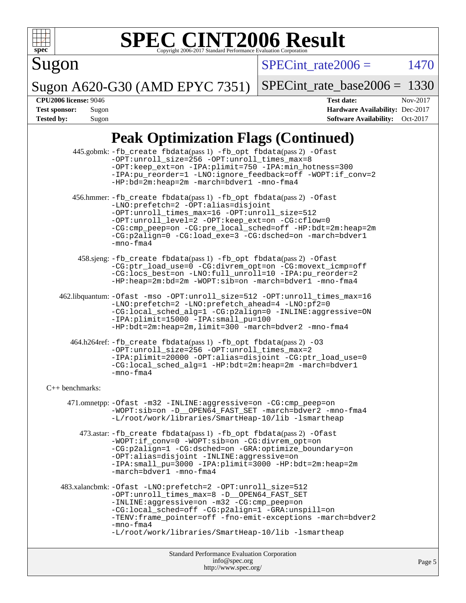

Sugon

 $SPECTnt_rate2006 = 1470$ 

Sugon A620-G30 (AMD EPYC 7351) [SPECint\\_rate\\_base2006 =](http://www.spec.org/auto/cpu2006/Docs/result-fields.html#SPECintratebase2006) 1330

**[CPU2006 license:](http://www.spec.org/auto/cpu2006/Docs/result-fields.html#CPU2006license)** 9046 **[Test date:](http://www.spec.org/auto/cpu2006/Docs/result-fields.html#Testdate)** Nov-2017 **[Test sponsor:](http://www.spec.org/auto/cpu2006/Docs/result-fields.html#Testsponsor)** Sugon **[Hardware Availability:](http://www.spec.org/auto/cpu2006/Docs/result-fields.html#HardwareAvailability)** Dec-2017

# **[Peak Optimization Flags \(Continued\)](http://www.spec.org/auto/cpu2006/Docs/result-fields.html#PeakOptimizationFlags)**

**[Tested by:](http://www.spec.org/auto/cpu2006/Docs/result-fields.html#Testedby)** Sugon **[Software Availability:](http://www.spec.org/auto/cpu2006/Docs/result-fields.html#SoftwareAvailability)** Oct-2017

|                      | Standard Performance Evaluation Corporation<br>info@spec.org                                                                                                                                                                                                                                                                                              | Page |
|----------------------|-----------------------------------------------------------------------------------------------------------------------------------------------------------------------------------------------------------------------------------------------------------------------------------------------------------------------------------------------------------|------|
|                      |                                                                                                                                                                                                                                                                                                                                                           |      |
|                      | -CG:local_sched=off -CG:p2align=1 -GRA:unspill=on<br>-TENV: frame_pointer=off -fno-emit-exceptions -march=bdver2<br>$-mno-fma4$<br>-L/root/work/libraries/SmartHeap-10/lib -lsmartheap                                                                                                                                                                    |      |
|                      | 483.xalancbmk: - Ofast - LNO: prefetch=2 - OPT: unroll_size=512<br>-OPT:unroll_times_max=8 -D__OPEN64_FAST_SET<br>-INLINE:aggressive=on -m32 -CG:cmp_peep=on                                                                                                                                                                                              |      |
|                      | 473.astar: -fb_create fbdata(pass 1) -fb_opt fbdata(pass 2) -Ofast<br>-WOPT:if_conv=0 -WOPT:sib=on -CG:divrem_opt=on<br>-CG:p2align=1 -CG:dsched=on -GRA:optimize boundary=on<br>-OPT:alias=disjoint -INLINE:aggressive=on<br>-IPA:small_pu=3000 -IPA:plimit=3000 -HP:bdt=2m:heap=2m<br>-march=bdver1 -mno-fma4                                           |      |
|                      | 471.omnetpp: - Ofast - m32 - INLINE: aggressive=on - CG: cmp_peep=on<br>-WOPT:sib=on -D__OPEN64_FAST_SET -march=bdver2 -mno-fma4<br>-L/root/work/libraries/SmartHeap-10/lib -lsmartheap                                                                                                                                                                   |      |
| $C_{++}$ benchmarks: |                                                                                                                                                                                                                                                                                                                                                           |      |
|                      | 464.h264ref: -fb_create fbdata(pass 1) -fb_opt fbdata(pass 2) -03<br>-OPT:unroll_size=256 -OPT:unroll_times_max=2<br>-IPA:plimit=20000 -OPT:alias=disjoint -CG:ptr_load_use=0<br>-CG:local sched alg=1 -HP:bdt=2m:heap=2m -march=bdver1<br>$-mno-fma4$                                                                                                    |      |
|                      | -IPA:plimit=15000 -IPA:small_pu=100<br>-HP:bdt=2m:heap=2m,limit=300 -march=bdver2 -mno-fma4                                                                                                                                                                                                                                                               |      |
|                      | 462.libquantum: -Ofast -mso -OPT:unroll_size=512 -OPT:unroll_times_max=16<br>-LNO:prefetch=2 -LNO:prefetch_ahead=4 -LNO:pf2=0<br>-CG:local_sched_alg=1 -CG:p2align=0 -INLINE:aggressive=ON                                                                                                                                                                |      |
|                      | 458.sjeng: -fb_create fbdata(pass 1) -fb_opt fbdata(pass 2) -Ofast<br>-CG:ptr_load_use=0 -CG:divrem_opt=on -CG:movext_icmp=off<br>-CG:locs_best=on -LNO:full_unroll=10 -IPA:pu_reorder=2<br>-HP:heap=2m:bd=2m -WOPT:sib=on -march=bdver1 -mno-fma4                                                                                                        |      |
|                      | 456.hmmer: -fb_create fbdata(pass 1) -fb_opt fbdata(pass 2) -Ofast<br>-LNO: prefetch=2 -OPT: alias=disjoint<br>-OPT:unroll_times_max=16 -OPT:unroll_size=512<br>-OPT:unroll_level=2 -OPT:keep_ext=on -CG:cflow=0<br>-CG:cmp_peep=on -CG:pre_local_sched=off -HP:bdt=2m:heap=2m<br>-CG:p2align=0 -CG:load_exe=3 -CG:dsched=on -march=bdver1<br>$-mno-fma4$ |      |
|                      | 445.gobmk: -fb_create fbdata(pass 1) -fb_opt fbdata(pass 2) -Ofast<br>-OPT:unroll_size=256 -OPT:unroll_times_max=8<br>-OPT:keep_ext=on -IPA:plimit=750 -IPA:min_hotness=300<br>-IPA:pu_reorder=1 -LNO:ignore_feedback=off -WOPT:if_conv=2<br>-HP:bd=2m:heap=2m -march=bdver1 -mno-fma4                                                                    |      |

<http://www.spec.org/>